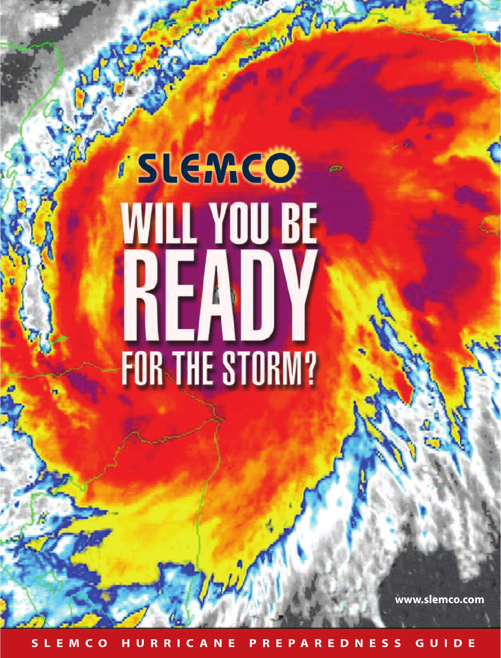## *i* SLEMCO **WILL YOU BE** READY FOR THE STORM?

**Change of** 

**www.slemco.com**

**SLEMC O HURRIC ANE PREPAREDNESS GUIDE**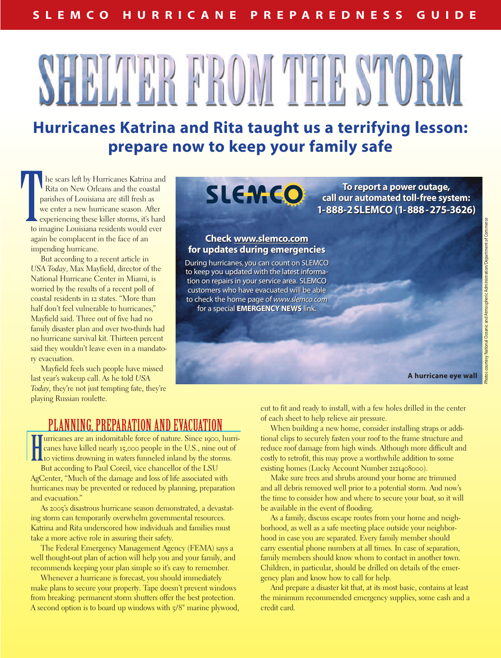# **MARTHERS ME**

## **Hurricanes Katrina and Rita taught us a terrifying lesson: prepare now to keep your family safe**

he scars left by Hurricanes Katrina and Rita on New Orleans and the coastal parishes of Louisiana are still fresh as we enter a new hurricane season. After experiencing these killer storms, it's hard to imagine Louisiana residents would ever again be complacent in the face of an impending hurricane. To report a power outage,<br>
Rita on New Orleans and the coastal<br>
parishes of Louisiana are still fresh as<br>
we enter a new hurricane season. After<br>
to imagine Louisiana residents would ever<br>
to imagine Louisiana residents wo

But according to a recent article in *USA Today*, Max Mayfield, director of the National Hurricane Center in Miami, is worried by the results of a recent poll of coastal residents in 12 states. "More than half don't feel vulnerable to hurricanes," Mayfield said. Three out of five had no family disaster plan and over two-thirds had no hurricane survival kit. Thirteen percent said they wouldn't leave even in a mandatory evacuation.

Mayfield feels such people have missed last year's wakeup call. As he told *USA Today,* they're not just tempting fate, they're playing Russian roulette.

**call our automated toll-free system: call our automated toll-free system: 1-888-2 SLEMCO (1-888-275-3626) 1-888-2 SLEMCO (1-888-275-3626) To report a power outage,**

## **Check www.slemco.com Check www.slemco.com for updates during emergencies for updates during emergencies**

During hurricanes, you can count on SLEMCO During hurricanes, you can count on SLEMCO to keep you updated with the latest informa-to keep you updated with the latest information on repairs in your service area. SLEMCO tion on repairs in your service area. SLEMCO customers who have evacuated will be able customers who have evacuated will be able to check the home page of *www.slemco.com* to check the home page of *www.slemco.com* for a special **EMERGENCY NEWS** link. for a special **EMERGENCY NEWS** link.

**A hurricane eye wall** 

## PLANNING, PREPARATION AND EVACUATION

Interior are an indomitable force of nature. Since 1900, hur canes have killed nearly 15,000 people in the U.S., nine out of 10 victims drowning in waters funneled inland by the storms. **Turricanes are an indomitable force of nature. Since 1900, hurri**canes have killed nearly 15,000 people in the U.S., nine out of

But according to Paul Coreil, vice chancellor of the LSU AgCenter, "Much of the damage and loss of life associated with hurricanes may be prevented or reduced by planning, preparation and evacuation."

As 2005's disastrous hurricane season demonstrated, a devastating storm can temporarily overwhelm governmental resources. Katrina and Rita underscored how individuals and families must take a more active role in assuring their safety.

The Federal Emergency Management Agency (FEMA) says a well thought-out plan of action will help you and your family, and recommends keeping your plan simple so it's easy to remember.

Whenever a hurricane is forecast, you should immediately make plans to secure your property. Tape doesn't prevent windows from breaking: permanent storm shutters offer the best protection. A second option is to board up windows with 5/8" marine plywood, cut to fit and ready to install, with a few holes drilled in the center of each sheet to help relieve air pressure.

When building a new home, consider installing straps or additional clips to securely fasten your roof to the frame structure and reduce roof damage from high winds. Although more difficult and costly to retrofit, this may prove a worthwhile addition to some existing homes (Lucky Account Number 2121408000).

Make sure trees and shrubs around your home are trimmed and all debris removed well prior to a potential storm. And now's the time to consider how and where to secure your boat, so it will be available in the event of flooding.

As a family, discuss escape routes from your home and neighborhood, as well as a safe meeting place outside your neighborhood in case you are separated. Every family member should carry essential phone numbers at all times. In case of separation, family members should know whom to contact in another town. Children, in particular, should be drilled on details of the emergency plan and know how to call for help.

And prepare a disaster kit that, at its most basic, contains at least the minimum recommended emergency supplies, some cash and a credit card.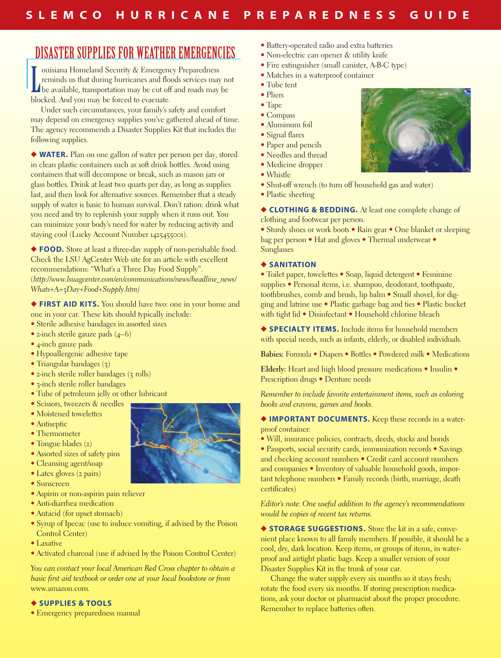## DISASTER SUPPLIES FOR WEATHER EMERGENCIES

Industriana Homeland Security & Emergency Preparedness<br>reminds us that during hurricanes and floods services may no<br>be available, transportation may be cut off and roads may be ouisiana Homeland Security & Emergency Preparedness reminds us that during hurricanes and floods services may not blocked. And you may be forced to evacuate.

Under such circumstances, your family's safety and comfort may depend on emergency supplies you've gathered ahead of time. The agency recommends a Disaster Supplies Kit that includes the following supplies.

**◆ WATER.** Plan on one gallon of water per person per day, stored in clean plastic containers such as soft drink bottles. Avoid using containers that will decompose or break, such as mason jars or glass bottles. Drink at least two quarts per day, as long as supplies last, and then look for alternative sources. Remember that a steady supply of water is basic to human survival. Don't ration: drink what you need and try to replenish your supply when it runs out. You can minimize your body's need for water by reducing activity and staying cool (Lucky Account Number 1425455001).

**◆ FOOD.** Store at least a three-day supply of non-perishable food. Check the LSU AgCenter Web site for an article with excellent recommendations: "What's a Three Day Food Supply". (*http://www.lsuagcenter.com/en/communications/news/headline\_news/ Whats+A+3Day+Food+Supply.htm)*

**◆ FIRST AID KITS.** You should have two: one in your home and one in your car. These kits should typically include:

- Sterile adhesive bandages in assorted sizes
- 2-inch sterile gauze pads  $(4-6)$
- 4-inch gauze pads
- Hypoallergenic adhesive tape
- Triangular bandages (3)
- 2-inch sterile roller bandages (3 rolls)
- 3-inch sterile roller bandages
- Tube of petroleum jelly or other lubricant
- Scissors, tweezers & needles
- Moistened towelettes
- Antiseptic
- Thermometer
- Tongue blades (2)
- Assorted sizes of safety pins
- Cleansing agent/soap
- Latex gloves (2 pairs)
- Sunscreen
- Aspirin or non-aspirin pain reliever
- Anti-diarrhea medication
- Antacid (for upset stomach)
- Syrup of Ipecac (use to induce vomiting, if advised by the Poison Control Center)
- Laxative
- Activated charcoal (use if advised by the Poison Control Center)

*You can contact your local American Red Cross chapter to obtain a basic first aid textbook or order one at your local bookstore or from* www.amazon.com*.*

### **◆ SUPPLIES & TOOLS**

• Emergency preparedness manual

- Battery-operated radio and extra batteries
- Non-electric can opener & utility knife
- Fire extinguisher (small canister, A-B-C type)
- Matches in a waterproof container
- Tube tent
- Pliers
- Tape
- Compass
- Aluminum foil
- Signal flares
- Paper and pencils • Needles and thread
- Medicine dropper
- Whistle
- 
- Shut-off wrench (to turn off household gas and water)
- Plastic sheeting

**◆ CLOTHING & BEDDING.** At least one complete change of clothing and footwear per person.

• Sturdy shoes or work boots • Rain gear • One blanket or sleeping bag per person • Hat and gloves • Thermal underwear • Sunglasses

#### **◆ SANITATION**

• Toilet paper, towelettes • Soap, liquid detergent • Feminine supplies • Personal items, i.e. shampoo, deodorant, toothpaste, toothbrushes, comb and brush, lip balm • Small shovel, for digging and latrine use • Plastic garbage bag and ties • Plastic bucket with tight lid • Disinfectant • Household chlorine bleach

**◆ SPECIALTY ITEMS.** Include items for household members with special needs, such as infants, elderly, or disabled individuals.

**Babies:** Formula • Diapers • Bottles • Powdered milk • Medications

**Elderly:** Heart and high blood pressure medications • Insulin • Prescription drugs • Denture needs

*Remember to include favorite entertainment items, such as coloring books and crayons, games and books.*

**◆ IMPORTANT DOCUMENTS.** Keep these records in a waterproof container:

• Will, insurance policies, contracts, deeds, stocks and bonds

• Passports, social security cards, immunization records • Savings and checking account numbers • Credit card account numbers and companies • Inventory of valuable household goods, important telephone numbers • Family records (birth, marriage, death certificates)

*Editor's note: One useful addition to the agency's recommendations would be copies of recent tax returns.*

◆ **STORAGE SUGGESTIONS.** Store the kit in a safe, convenient place known to all family members. If possible, it should be a cool, dry, dark location. Keep items, or groups of items, in waterproof and airtight plastic bags. Keep a smaller version of your Disaster Supplies Kit in the trunk of your car.

Change the water supply every six months so it stays fresh; rotate the food every six months. If storing prescription medications, ask your doctor or pharmacist about the proper procedure. Remember to replace batteries often.



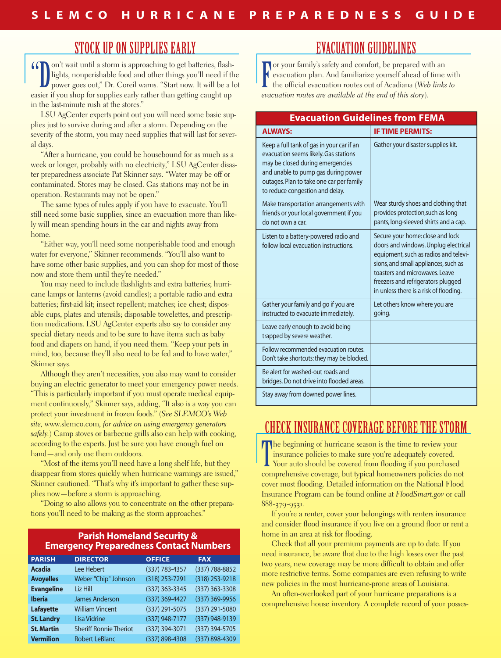## STOCK UP ON SUPPLIES EARLY

"On't wait until a storm is approaching to get batteries, flash-<br>lights, nonperishable food and other things you'll need if the<br>power goes out," Dr. Coreil warns. "Start now. It will be a l lights, nonperishable food and other things you'll need if the power goes out," Dr. Coreil warns. "Start now. It will be a lot easier if you shop for supplies early rather than getting caught up in the last-minute rush at the stores."

LSU AgCenter experts point out you will need some basic supplies just to survive during and after a storm. Depending on the severity of the storm, you may need supplies that will last for several days.

"After a hurricane, you could be housebound for as much as a week or longer, probably with no electricity," LSU AgCenter disaster preparedness associate Pat Skinner says. "Water may be off or contaminated. Stores may be closed. Gas stations may not be in operation. Restaurants may not be open."

The same types of rules apply if you have to evacuate. You'll still need some basic supplies, since an evacuation more than likely will mean spending hours in the car and nights away from home.

"Either way, you'll need some nonperishable food and enough water for everyone," Skinner recommends. "You'll also want to have some other basic supplies, and you can shop for most of those now and store them until they're needed."

You may need to include flashlights and extra batteries; hurricane lamps or lanterns (avoid candles); a portable radio and extra batteries; first-aid kit; insect repellent; matches; ice chest; disposable cups, plates and utensils; disposable towelettes, and prescription medications. LSU AgCenter experts also say to consider any special dietary needs and to be sure to have items such as baby food and diapers on hand, if you need them. "Keep your pets in mind, too, because they'll also need to be fed and to have water," Skinner says.

Although they aren't necessities, you also may want to consider buying an electric generator to meet your emergency power needs. "This is particularly important if you must operate medical equipment continuously," Skinner says, adding, "It also is a way you can protect your investment in frozen foods." (*See SLEMCO's Web site,* www.slemco.com*, for advice on using emergency generators safely.*) Camp stoves or barbecue grills also can help with cooking, according to the experts. Just be sure you have enough fuel on hand—and only use them outdoors.

"Most of the items you'll need have a long shelf life, but they disappear from stores quickly when hurricane warnings are issued," Skinner cautioned. "That's why it's important to gather these supplies now—before a storm is approaching.

"Doing so also allows you to concentrate on the other preparations you'll need to be making as the storm approaches."

## **Parish Homeland Security & Emergency Preparedness Contact Numbers PARISH DIRECTOR OFFICE FAX**

| <b>PARISH</b>     | <b>DIRECTOR</b>               | <b>OFFICE</b>  | <b>FAX</b>     |
|-------------------|-------------------------------|----------------|----------------|
| <b>Acadia</b>     | Lee Hebert                    | (337) 783-4357 | (337) 788-8852 |
| <b>Avoyelles</b>  | Weber "Chip" Johnson          | (318) 253-7291 | (318) 253-9218 |
| <b>Evangeline</b> | Liz Hill                      | (337) 363-3345 | (337) 363-3308 |
| <b>Iberia</b>     | <b>James Anderson</b>         | (337) 369-4427 | (337) 369-9956 |
| <b>Lafayette</b>  | <b>William Vincent</b>        | (337) 291-5075 | (337) 291-5080 |
| <b>St. Landry</b> | <b>Lisa Vidrine</b>           | (337) 948-7177 | (337) 948-9139 |
| <b>St. Martin</b> | <b>Sheriff Ronnie Theriot</b> | (337) 394-3071 | (337) 394-5705 |
| <b>Vermilion</b>  | <b>Robert LeBlanc</b>         | (337) 898-4308 | (337) 898-4309 |

## EVACUATION GUIDELINES

For your family's safety and comfort, be prepared with an evacuation plan. And familiarize yourself ahead of time the official evacuation routes out of Acadiana (*Web links* evacuation plan. And familiarize yourself ahead of time with the official evacuation routes out of Acadiana (*Web links to evacuation routes are available at the end of this story*).

| <b>Evacuation Guidelines from FEMA</b>                                                                                                                                                                                                       |                                                                                                                                                                                                                                                                             |  |  |
|----------------------------------------------------------------------------------------------------------------------------------------------------------------------------------------------------------------------------------------------|-----------------------------------------------------------------------------------------------------------------------------------------------------------------------------------------------------------------------------------------------------------------------------|--|--|
| <b>ALWAYS:</b>                                                                                                                                                                                                                               | <b>IF TIME PERMITS:</b>                                                                                                                                                                                                                                                     |  |  |
| Keep a full tank of gas in your car if an<br>evacuation seems likely. Gas stations<br>may be closed during emergencies<br>and unable to pump gas during power<br>outages. Plan to take one car per family<br>to reduce congestion and delay. | Gather your disaster supplies kit.                                                                                                                                                                                                                                          |  |  |
| Make transportation arrangements with<br>friends or your local government if you<br>do not own a car.                                                                                                                                        | Wear sturdy shoes and clothing that<br>provides protection, such as long<br>pants, long-sleeved shirts and a cap.                                                                                                                                                           |  |  |
| Listen to a battery-powered radio and<br>follow local evacuation instructions.                                                                                                                                                               | Secure your home: close and lock<br>doors and windows. Unplug electrical<br>equipment, such as radios and televi-<br>sions, and small appliances, such as<br>toasters and microwaves. Leave<br>freezers and refrigerators plugged<br>in unless there is a risk of flooding. |  |  |
| Gather your family and go if you are<br>instructed to evacuate immediately.                                                                                                                                                                  | Let others know where you are<br>going.                                                                                                                                                                                                                                     |  |  |
| Leave early enough to avoid being<br>trapped by severe weather.                                                                                                                                                                              |                                                                                                                                                                                                                                                                             |  |  |
| Follow recommended evacuation routes.<br>Don't take shortcuts: they may be blocked.                                                                                                                                                          |                                                                                                                                                                                                                                                                             |  |  |
| Be alert for washed-out roads and<br>bridges. Do not drive into flooded areas.                                                                                                                                                               |                                                                                                                                                                                                                                                                             |  |  |
| Stay away from downed power lines.                                                                                                                                                                                                           |                                                                                                                                                                                                                                                                             |  |  |

## CHECK INSURANCE COVERAGE BEFORE THE STORM

The beginning of hurricane season is the time to review your insurance policies to make sure you're adequately covered.<br>Your auto should be covered from flooding if you purchased insurance policies to make sure you're adequately covered. Your auto should be covered from flooding if you purchased comprehensive coverage, but typical homeowners policies do not cover most flooding. Detailed information on the National Flood Insurance Program can be found online at *FloodSmart.gov* or call 888-379-9531.

If you're a renter, cover your belongings with renters insurance and consider flood insurance if you live on a ground floor or rent a home in an area at risk for flooding.

Check that all your premium payments are up to date. If you need insurance, be aware that due to the high losses over the past two years, new coverage may be more difficult to obtain and offer more restrictive terms. Some companies are even refusing to write new policies in the most hurricane-prone areas of Louisiana.

An often-overlooked part of your hurricane preparations is a comprehensive house inventory. A complete record of your posses